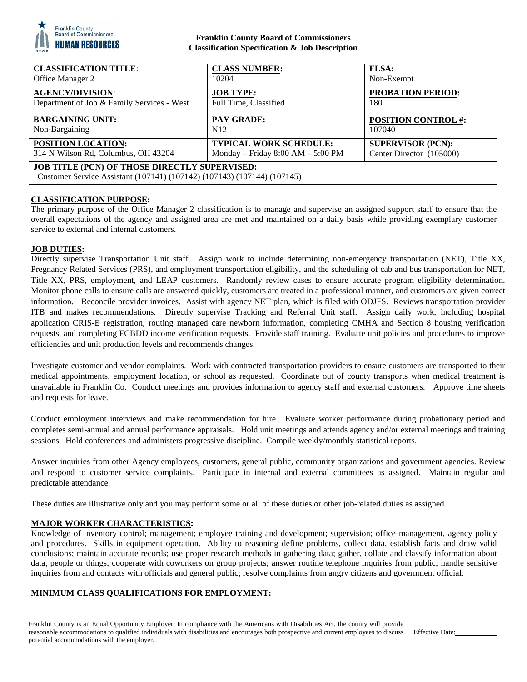

## **Franklin County Board of Commissioners Classification Specification & Job Description**

| <b>CLASSIFICATION TITLE:</b>                                                                                             | <b>CLASS NUMBER:</b>                | <b>FLSA:</b>               |
|--------------------------------------------------------------------------------------------------------------------------|-------------------------------------|----------------------------|
| Office Manager 2                                                                                                         | 10204                               | Non-Exempt                 |
| <b>AGENCY/DIVISION:</b>                                                                                                  | <b>JOB TYPE:</b>                    | <b>PROBATION PERIOD:</b>   |
| Department of Job & Family Services - West                                                                               | Full Time, Classified               | 180                        |
| <b>BARGAINING UNIT:</b>                                                                                                  | <b>PAY GRADE:</b>                   | <b>POSITION CONTROL #:</b> |
| Non-Bargaining                                                                                                           | N <sub>12</sub>                     | 107040                     |
| POSITION LOCATION:                                                                                                       | <b>TYPICAL WORK SCHEDULE:</b>       | <b>SUPERVISOR (PCN):</b>   |
| 314 N Wilson Rd, Columbus, OH 43204                                                                                      | Monday – Friday $8:00 AM - 5:00 PM$ | Center Director (105000)   |
| JOB TITLE (PCN) OF THOSE DIRECTLY SUPERVISED:<br>Customer Service Assistant (107141) (107142) (107143) (107144) (107145) |                                     |                            |

# **CLASSIFICATION PURPOSE:**

The primary purpose of the Office Manager 2 classification is to manage and supervise an assigned support staff to ensure that the overall expectations of the agency and assigned area are met and maintained on a daily basis while providing exemplary customer service to external and internal customers.

## **JOB DUTIES:**

Directly supervise Transportation Unit staff. Assign work to include determining non-emergency transportation (NET), Title XX, Pregnancy Related Services (PRS), and employment transportation eligibility, and the scheduling of cab and bus transportation for NET, Title XX, PRS, employment, and LEAP customers. Randomly review cases to ensure accurate program eligibility determination. Monitor phone calls to ensure calls are answered quickly, customers are treated in a professional manner, and customers are given correct information. Reconcile provider invoices. Assist with agency NET plan, which is filed with ODJFS. Reviews transportation provider ITB and makes recommendations. Directly supervise Tracking and Referral Unit staff. Assign daily work, including hospital application CRIS-E registration, routing managed care newborn information, completing CMHA and Section 8 housing verification requests, and completing FCBDD income verification requests. Provide staff training. Evaluate unit policies and procedures to improve efficiencies and unit production levels and recommends changes.

Investigate customer and vendor complaints. Work with contracted transportation providers to ensure customers are transported to their medical appointments, employment location, or school as requested. Coordinate out of county transports when medical treatment is unavailable in Franklin Co. Conduct meetings and provides information to agency staff and external customers. Approve time sheets and requests for leave.

Conduct employment interviews and make recommendation for hire. Evaluate worker performance during probationary period and completes semi-annual and annual performance appraisals. Hold unit meetings and attends agency and/or external meetings and training sessions. Hold conferences and administers progressive discipline. Compile weekly/monthly statistical reports.

Answer inquiries from other Agency employees, customers, general public, community organizations and government agencies. Review and respond to customer service complaints. Participate in internal and external committees as assigned. Maintain regular and predictable attendance.

These duties are illustrative only and you may perform some or all of these duties or other job-related duties as assigned.

## **MAJOR WORKER CHARACTERISTICS:**

Knowledge of inventory control; management; employee training and development; supervision; office management, agency policy and procedures. Skills in equipment operation. Ability to reasoning define problems, collect data, establish facts and draw valid conclusions; maintain accurate records; use proper research methods in gathering data; gather, collate and classify information about data, people or things; cooperate with coworkers on group projects; answer routine telephone inquiries from public; handle sensitive inquiries from and contacts with officials and general public; resolve complaints from angry citizens and government official.

## **MINIMUM CLASS QUALIFICATIONS FOR EMPLOYMENT:**

Franklin County is an Equal Opportunity Employer. In compliance with the Americans with Disabilities Act, the county will provide reasonable accommodations to qualified individuals with disabilities and encourages both prospective and current employees to discuss potential accommodations with the employer.

Effective Date: